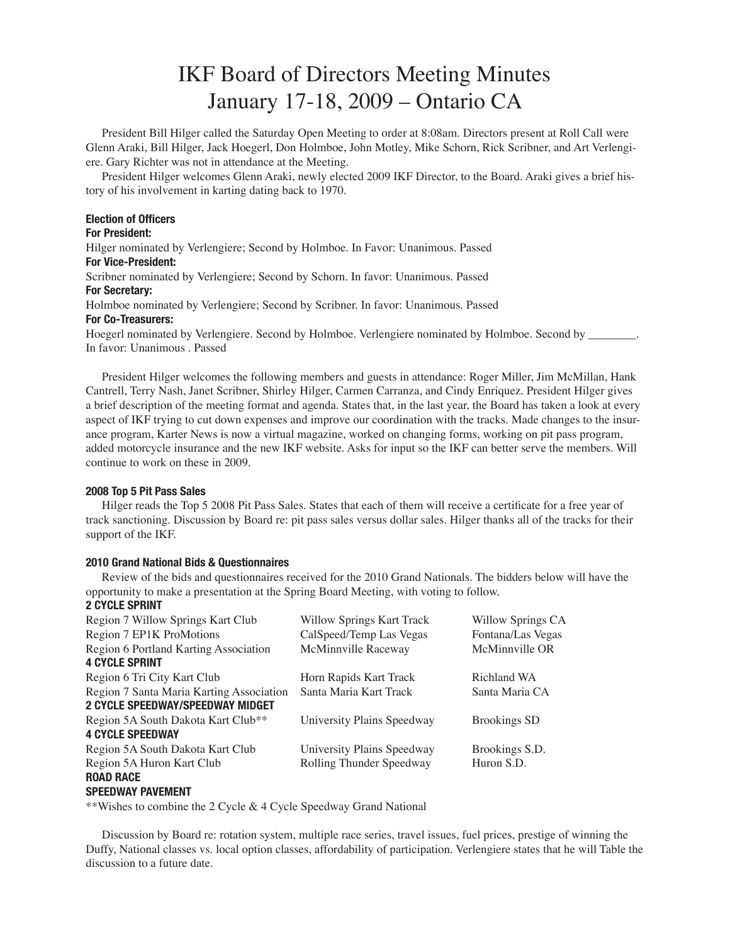# IKF Board of Directors Meeting Minutes January 17-18, 2009 – Ontario CA

President Bill Hilger called the Saturday Open Meeting to order at 8:08am. Directors present at Roll Call were Glenn Araki, Bill Hilger, Jack Hoegerl, Don Holmboe, John Motley, Mike Schorn, Rick Scribner, and Art Verlengiere. Gary Richter was not in attendance at the Meeting.

President Hilger welcomes Glenn Araki, newly elected 2009 IKF Director, to the Board. Araki gives a brief history of his involvement in karting dating back to 1970.

# Election of Officers

## For President:

Hilger nominated by Verlengiere; Second by Holmboe. In Favor: Unanimous. Passed For Vice-President:

Scribner nominated by Verlengiere; Second by Schorn. In favor: Unanimous. Passed For Secretary:

Holmboe nominated by Verlengiere; Second by Scribner. In favor: Unanimous. Passed For Co-Treasurers:

Hoegerl nominated by Verlengiere. Second by Holmboe. Verlengiere nominated by Holmboe. Second by \_\_\_\_\_\_\_\_. In favor: Unanimous . Passed

President Hilger welcomes the following members and guests in attendance: Roger Miller, Jim McMillan, Hank Cantrell, Terry Nash, Janet Scribner, Shirley Hilger, Carmen Carranza, and Cindy Enriquez. President Hilger gives a brief description of the meeting format and agenda. States that, in the last year, the Board has taken a look at every aspect of IKF trying to cut down expenses and improve our coordination with the tracks. Made changes to the insurance program, Karter News is now a virtual magazine, worked on changing forms, working on pit pass program, added motorcycle insurance and the new IKF website. Asks for input so the IKF can better serve the members. Will continue to work on these in 2009.

## 2008 Top 5 Pit Pass Sales

Hilger reads the Top 5 2008 Pit Pass Sales. States that each of them will receive a certificate for a free year of track sanctioning. Discussion by Board re: pit pass sales versus dollar sales. Hilger thanks all of the tracks for their support of the IKF.

# 2010 Grand National Bids & Questionnaires

Review of the bids and questionnaires received for the 2010 Grand Nationals. The bidders below will have the opportunity to make a presentation at the Spring Board Meeting, with voting to follow.

# 2 CYCLE SPRINT

| Region 7 Willow Springs Kart Club             | Willow Springs Kart Track  | Willow Springs CA   |
|-----------------------------------------------|----------------------------|---------------------|
| Region 7 EP1K ProMotions                      | CalSpeed/Temp Las Vegas    | Fontana/Las Vegas   |
| Region 6 Portland Karting Association         | McMinnville Raceway        | McMinnville OR      |
| <b>4 CYCLE SPRINT</b>                         |                            |                     |
| Region 6 Tri City Kart Club                   | Horn Rapids Kart Track     | Richland WA         |
| Region 7 Santa Maria Karting Association      | Santa Maria Kart Track     | Santa Maria CA      |
| 2 CYCLE SPEEDWAY/SPEEDWAY MIDGET              |                            |                     |
| Region 5A South Dakota Kart Club**            | University Plains Speedway | <b>Brookings SD</b> |
| <b>4 CYCLE SPEEDWAY</b>                       |                            |                     |
| Region 5A South Dakota Kart Club              | University Plains Speedway | Brookings S.D.      |
| Region 5A Huron Kart Club<br><b>ROAD RACE</b> | Rolling Thunder Speedway   | Huron S.D.          |
|                                               |                            |                     |

## SPEEDWAY PAVEMENT

\*\*Wishes to combine the 2 Cycle & 4 Cycle Speedway Grand National

Discussion by Board re: rotation system, multiple race series, travel issues, fuel prices, prestige of winning the Duffy, National classes vs. local option classes, affordability of participation. Verlengiere states that he will Table the discussion to a future date.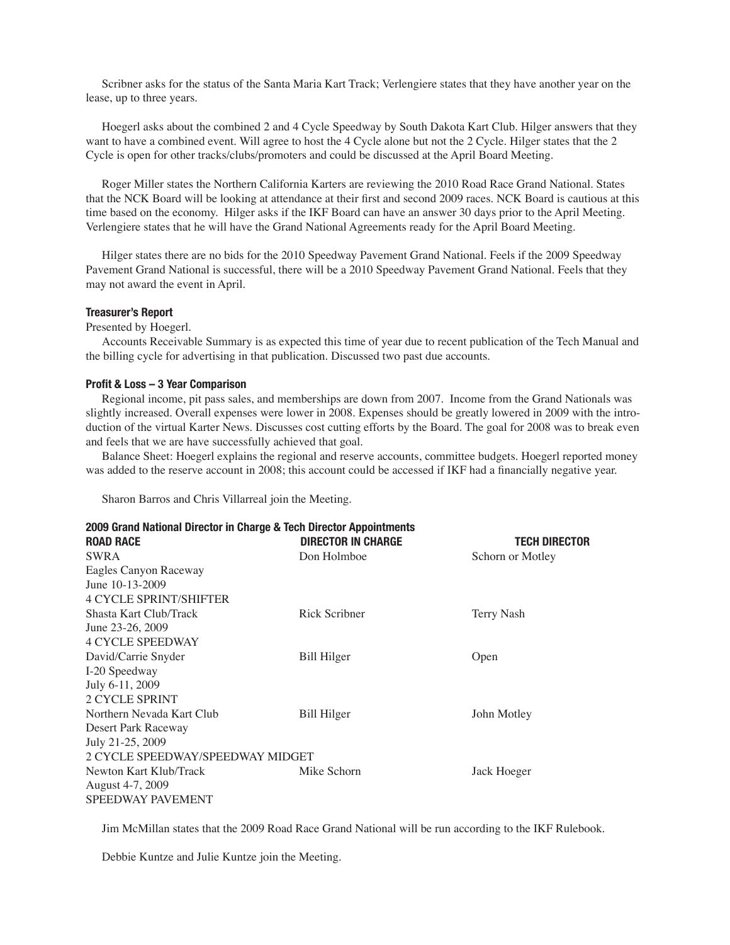Scribner asks for the status of the Santa Maria Kart Track; Verlengiere states that they have another year on the lease, up to three years.

Hoegerl asks about the combined 2 and 4 Cycle Speedway by South Dakota Kart Club. Hilger answers that they want to have a combined event. Will agree to host the 4 Cycle alone but not the 2 Cycle. Hilger states that the 2 Cycle is open for other tracks/clubs/promoters and could be discussed at the April Board Meeting.

Roger Miller states the Northern California Karters are reviewing the 2010 Road Race Grand National. States that the NCK Board will be looking at attendance at their first and second 2009 races. NCK Board is cautious at this time based on the economy. Hilger asks if the IKF Board can have an answer 30 days prior to the April Meeting. Verlengiere states that he will have the Grand National Agreements ready for the April Board Meeting.

Hilger states there are no bids for the 2010 Speedway Pavement Grand National. Feels if the 2009 Speedway Pavement Grand National is successful, there will be a 2010 Speedway Pavement Grand National. Feels that they may not award the event in April.

## Treasurer's Report

## Presented by Hoegerl.

Accounts Receivable Summary is as expected this time of year due to recent publication of the Tech Manual and the billing cycle for advertising in that publication. Discussed two past due accounts.

### Profit & Loss – 3 Year Comparison

Regional income, pit pass sales, and memberships are down from 2007. Income from the Grand Nationals was slightly increased. Overall expenses were lower in 2008. Expenses should be greatly lowered in 2009 with the introduction of the virtual Karter News. Discusses cost cutting efforts by the Board. The goal for 2008 was to break even and feels that we are have successfully achieved that goal.

Balance Sheet: Hoegerl explains the regional and reserve accounts, committee budgets. Hoegerl reported money was added to the reserve account in 2008; this account could be accessed if IKF had a financially negative year.

Sharon Barros and Chris Villarreal join the Meeting.

| 2009 Grand National Director in Charge & Tech Director Appointments |                           |                      |  |
|---------------------------------------------------------------------|---------------------------|----------------------|--|
| <b>ROAD RACE</b>                                                    | <b>DIRECTOR IN CHARGE</b> | <b>TECH DIRECTOR</b> |  |
| <b>SWRA</b>                                                         | Don Holmboe               | Schorn or Motley     |  |
| Eagles Canyon Raceway                                               |                           |                      |  |
| June 10-13-2009                                                     |                           |                      |  |
| <b>4 CYCLE SPRINT/SHIFTER</b>                                       |                           |                      |  |
| Shasta Kart Club/Track                                              | Rick Scribner             | Terry Nash           |  |
| June 23-26, 2009                                                    |                           |                      |  |
| <b>4 CYCLE SPEEDWAY</b>                                             |                           |                      |  |
| David/Carrie Snyder                                                 | Bill Hilger               | Open                 |  |
| I-20 Speedway                                                       |                           |                      |  |
| July 6-11, 2009                                                     |                           |                      |  |
| <b>2 CYCLE SPRINT</b>                                               |                           |                      |  |
| Northern Nevada Kart Club                                           | Bill Hilger               | John Motley          |  |
| Desert Park Raceway                                                 |                           |                      |  |
| July 21-25, 2009                                                    |                           |                      |  |
| 2 CYCLE SPEEDWAY/SPEEDWAY MIDGET                                    |                           |                      |  |
| Newton Kart Klub/Track                                              | Mike Schorn               | Jack Hoeger          |  |
| August 4-7, 2009                                                    |                           |                      |  |
| <b>SPEEDWAY PAVEMENT</b>                                            |                           |                      |  |

Jim McMillan states that the 2009 Road Race Grand National will be run according to the IKF Rulebook.

Debbie Kuntze and Julie Kuntze join the Meeting.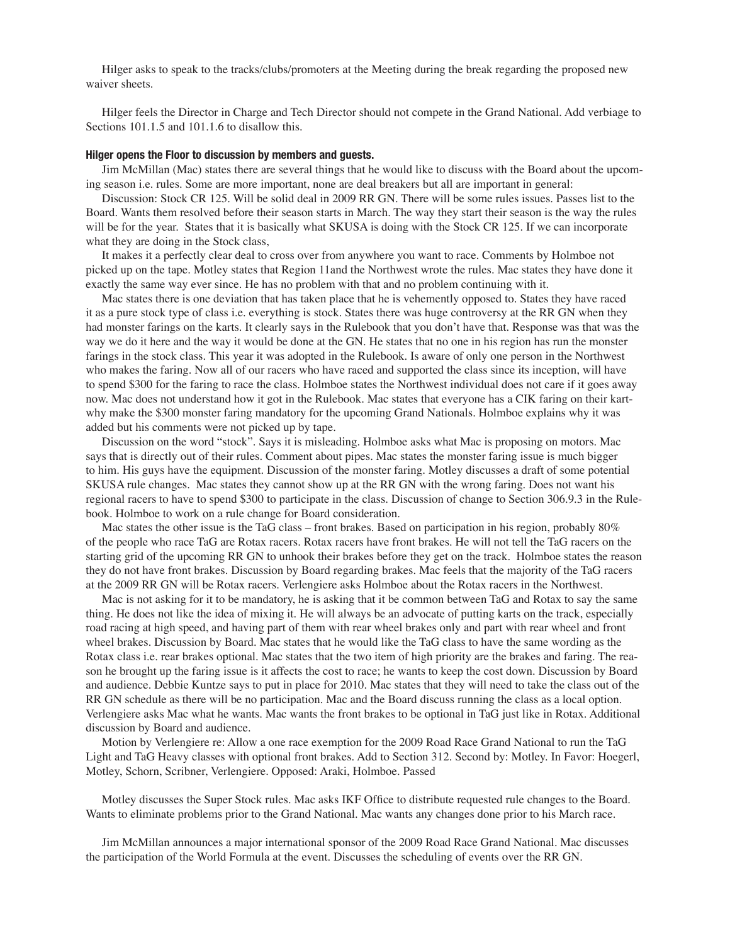Hilger asks to speak to the tracks/clubs/promoters at the Meeting during the break regarding the proposed new waiver sheets.

Hilger feels the Director in Charge and Tech Director should not compete in the Grand National. Add verbiage to Sections 101.1.5 and 101.1.6 to disallow this.

#### Hilger opens the Floor to discussion by members and guests.

Jim McMillan (Mac) states there are several things that he would like to discuss with the Board about the upcoming season i.e. rules. Some are more important, none are deal breakers but all are important in general:

Discussion: Stock CR 125. Will be solid deal in 2009 RR GN. There will be some rules issues. Passes list to the Board. Wants them resolved before their season starts in March. The way they start their season is the way the rules will be for the year. States that it is basically what SKUSA is doing with the Stock CR 125. If we can incorporate what they are doing in the Stock class,

It makes it a perfectly clear deal to cross over from anywhere you want to race. Comments by Holmboe not picked up on the tape. Motley states that Region 11and the Northwest wrote the rules. Mac states they have done it exactly the same way ever since. He has no problem with that and no problem continuing with it.

Mac states there is one deviation that has taken place that he is vehemently opposed to. States they have raced it as a pure stock type of class i.e. everything is stock. States there was huge controversy at the RR GN when they had monster farings on the karts. It clearly says in the Rulebook that you don't have that. Response was that was the way we do it here and the way it would be done at the GN. He states that no one in his region has run the monster farings in the stock class. This year it was adopted in the Rulebook. Is aware of only one person in the Northwest who makes the faring. Now all of our racers who have raced and supported the class since its inception, will have to spend \$300 for the faring to race the class. Holmboe states the Northwest individual does not care if it goes away now. Mac does not understand how it got in the Rulebook. Mac states that everyone has a CIK faring on their kartwhy make the \$300 monster faring mandatory for the upcoming Grand Nationals. Holmboe explains why it was added but his comments were not picked up by tape.

Discussion on the word "stock". Says it is misleading. Holmboe asks what Mac is proposing on motors. Mac says that is directly out of their rules. Comment about pipes. Mac states the monster faring issue is much bigger to him. His guys have the equipment. Discussion of the monster faring. Motley discusses a draft of some potential SKUSA rule changes. Mac states they cannot show up at the RR GN with the wrong faring. Does not want his regional racers to have to spend \$300 to participate in the class. Discussion of change to Section 306.9.3 in the Rulebook. Holmboe to work on a rule change for Board consideration.

Mac states the other issue is the TaG class – front brakes. Based on participation in his region, probably 80% of the people who race TaG are Rotax racers. Rotax racers have front brakes. He will not tell the TaG racers on the starting grid of the upcoming RR GN to unhook their brakes before they get on the track. Holmboe states the reason they do not have front brakes. Discussion by Board regarding brakes. Mac feels that the majority of the TaG racers at the 2009 RR GN will be Rotax racers. Verlengiere asks Holmboe about the Rotax racers in the Northwest.

Mac is not asking for it to be mandatory, he is asking that it be common between TaG and Rotax to say the same thing. He does not like the idea of mixing it. He will always be an advocate of putting karts on the track, especially road racing at high speed, and having part of them with rear wheel brakes only and part with rear wheel and front wheel brakes. Discussion by Board. Mac states that he would like the TaG class to have the same wording as the Rotax class i.e. rear brakes optional. Mac states that the two item of high priority are the brakes and faring. The reason he brought up the faring issue is it affects the cost to race; he wants to keep the cost down. Discussion by Board and audience. Debbie Kuntze says to put in place for 2010. Mac states that they will need to take the class out of the RR GN schedule as there will be no participation. Mac and the Board discuss running the class as a local option. Verlengiere asks Mac what he wants. Mac wants the front brakes to be optional in TaG just like in Rotax. Additional discussion by Board and audience.

Motion by Verlengiere re: Allow a one race exemption for the 2009 Road Race Grand National to run the TaG Light and TaG Heavy classes with optional front brakes. Add to Section 312. Second by: Motley. In Favor: Hoegerl, Motley, Schorn, Scribner, Verlengiere. Opposed: Araki, Holmboe. Passed

Motley discusses the Super Stock rules. Mac asks IKF Office to distribute requested rule changes to the Board. Wants to eliminate problems prior to the Grand National. Mac wants any changes done prior to his March race.

Jim McMillan announces a major international sponsor of the 2009 Road Race Grand National. Mac discusses the participation of the World Formula at the event. Discusses the scheduling of events over the RR GN.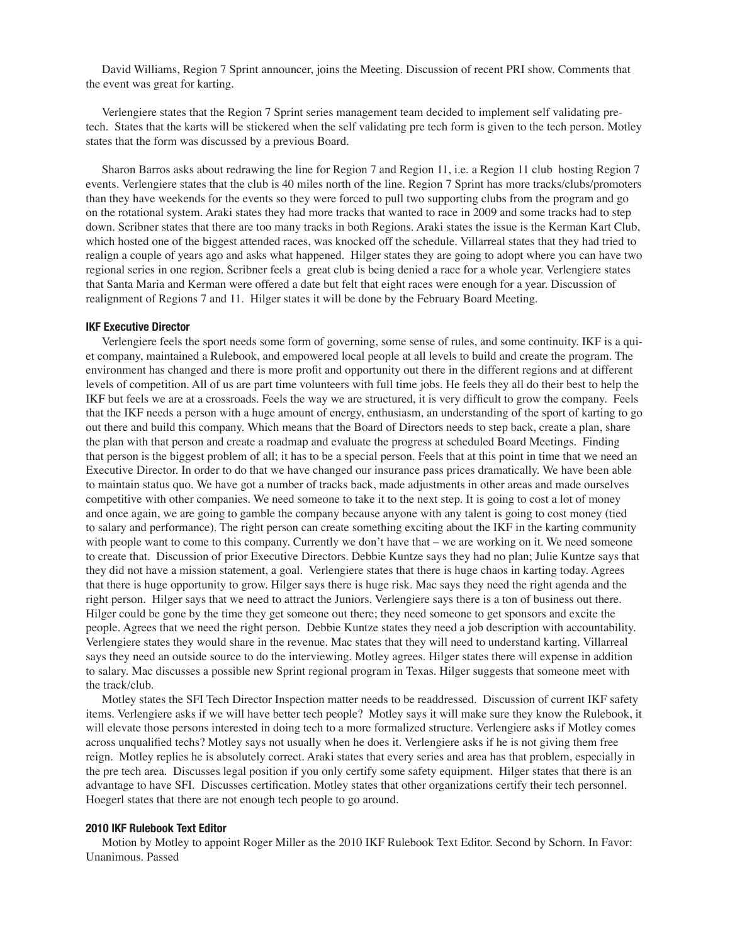David Williams, Region 7 Sprint announcer, joins the Meeting. Discussion of recent PRI show. Comments that the event was great for karting.

Verlengiere states that the Region 7 Sprint series management team decided to implement self validating pretech. States that the karts will be stickered when the self validating pre tech form is given to the tech person. Motley states that the form was discussed by a previous Board.

Sharon Barros asks about redrawing the line for Region 7 and Region 11, i.e. a Region 11 club hosting Region 7 events. Verlengiere states that the club is 40 miles north of the line. Region 7 Sprint has more tracks/clubs/promoters than they have weekends for the events so they were forced to pull two supporting clubs from the program and go on the rotational system. Araki states they had more tracks that wanted to race in 2009 and some tracks had to step down. Scribner states that there are too many tracks in both Regions. Araki states the issue is the Kerman Kart Club, which hosted one of the biggest attended races, was knocked off the schedule. Villarreal states that they had tried to realign a couple of years ago and asks what happened. Hilger states they are going to adopt where you can have two regional series in one region. Scribner feels a great club is being denied a race for a whole year. Verlengiere states that Santa Maria and Kerman were offered a date but felt that eight races were enough for a year. Discussion of realignment of Regions 7 and 11. Hilger states it will be done by the February Board Meeting.

#### IKF Executive Director

Verlengiere feels the sport needs some form of governing, some sense of rules, and some continuity. IKF is a quiet company, maintained a Rulebook, and empowered local people at all levels to build and create the program. The environment has changed and there is more profit and opportunity out there in the different regions and at different levels of competition. All of us are part time volunteers with full time jobs. He feels they all do their best to help the IKF but feels we are at a crossroads. Feels the way we are structured, it is very difficult to grow the company. Feels that the IKF needs a person with a huge amount of energy, enthusiasm, an understanding of the sport of karting to go out there and build this company. Which means that the Board of Directors needs to step back, create a plan, share the plan with that person and create a roadmap and evaluate the progress at scheduled Board Meetings. Finding that person is the biggest problem of all; it has to be a special person. Feels that at this point in time that we need an Executive Director. In order to do that we have changed our insurance pass prices dramatically. We have been able to maintain status quo. We have got a number of tracks back, made adjustments in other areas and made ourselves competitive with other companies. We need someone to take it to the next step. It is going to cost a lot of money and once again, we are going to gamble the company because anyone with any talent is going to cost money (tied to salary and performance). The right person can create something exciting about the IKF in the karting community with people want to come to this company. Currently we don't have that – we are working on it. We need someone to create that. Discussion of prior Executive Directors. Debbie Kuntze says they had no plan; Julie Kuntze says that they did not have a mission statement, a goal. Verlengiere states that there is huge chaos in karting today. Agrees that there is huge opportunity to grow. Hilger says there is huge risk. Mac says they need the right agenda and the right person. Hilger says that we need to attract the Juniors. Verlengiere says there is a ton of business out there. Hilger could be gone by the time they get someone out there; they need someone to get sponsors and excite the people. Agrees that we need the right person. Debbie Kuntze states they need a job description with accountability. Verlengiere states they would share in the revenue. Mac states that they will need to understand karting. Villarreal says they need an outside source to do the interviewing. Motley agrees. Hilger states there will expense in addition to salary. Mac discusses a possible new Sprint regional program in Texas. Hilger suggests that someone meet with the track/club.

Motley states the SFI Tech Director Inspection matter needs to be readdressed. Discussion of current IKF safety items. Verlengiere asks if we will have better tech people? Motley says it will make sure they know the Rulebook, it will elevate those persons interested in doing tech to a more formalized structure. Verlengiere asks if Motley comes across unqualified techs? Motley says not usually when he does it. Verlengiere asks if he is not giving them free reign. Motley replies he is absolutely correct. Araki states that every series and area has that problem, especially in the pre tech area. Discusses legal position if you only certify some safety equipment. Hilger states that there is an advantage to have SFI. Discusses certification. Motley states that other organizations certify their tech personnel. Hoegerl states that there are not enough tech people to go around.

#### 2010 IKF Rulebook Text Editor

Motion by Motley to appoint Roger Miller as the 2010 IKF Rulebook Text Editor. Second by Schorn. In Favor: Unanimous. Passed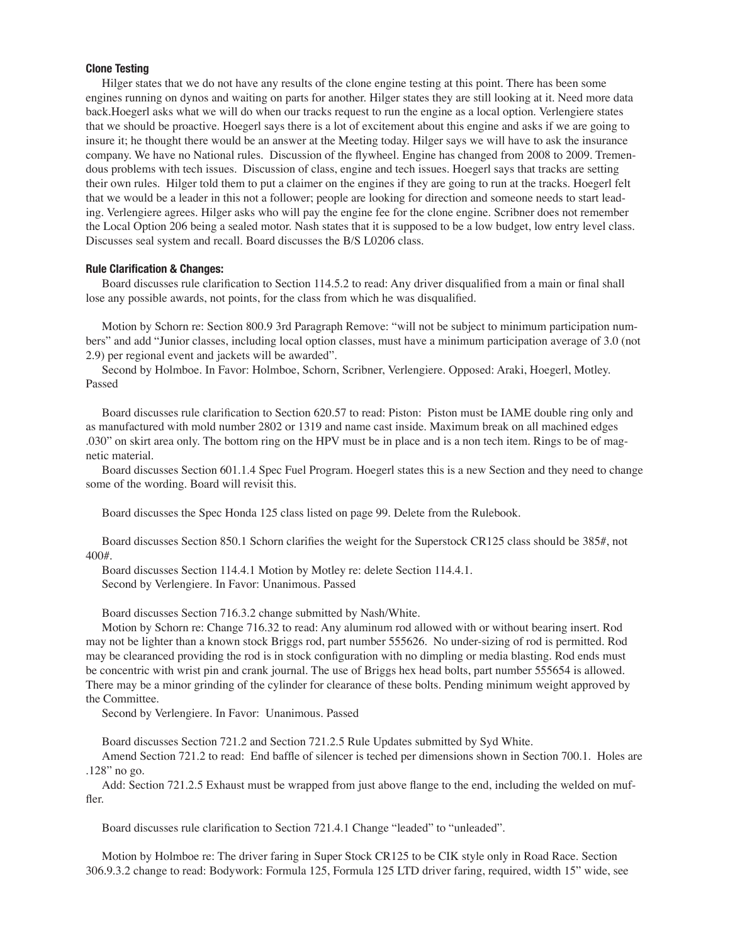### Clone Testing

Hilger states that we do not have any results of the clone engine testing at this point. There has been some engines running on dynos and waiting on parts for another. Hilger states they are still looking at it. Need more data back.Hoegerl asks what we will do when our tracks request to run the engine as a local option. Verlengiere states that we should be proactive. Hoegerl says there is a lot of excitement about this engine and asks if we are going to insure it; he thought there would be an answer at the Meeting today. Hilger says we will have to ask the insurance company. We have no National rules. Discussion of the flywheel. Engine has changed from 2008 to 2009. Tremendous problems with tech issues. Discussion of class, engine and tech issues. Hoegerl says that tracks are setting their own rules. Hilger told them to put a claimer on the engines if they are going to run at the tracks. Hoegerl felt that we would be a leader in this not a follower; people are looking for direction and someone needs to start leading. Verlengiere agrees. Hilger asks who will pay the engine fee for the clone engine. Scribner does not remember the Local Option 206 being a sealed motor. Nash states that it is supposed to be a low budget, low entry level class. Discusses seal system and recall. Board discusses the B/S L0206 class.

#### Rule Clarification & Changes:

Board discusses rule clarification to Section 114.5.2 to read: Any driver disqualified from a main or final shall lose any possible awards, not points, for the class from which he was disqualified.

Motion by Schorn re: Section 800.9 3rd Paragraph Remove: "will not be subject to minimum participation numbers" and add "Junior classes, including local option classes, must have a minimum participation average of 3.0 (not 2.9) per regional event and jackets will be awarded".

Second by Holmboe. In Favor: Holmboe, Schorn, Scribner, Verlengiere. Opposed: Araki, Hoegerl, Motley. Passed

Board discusses rule clarification to Section 620.57 to read: Piston: Piston must be IAME double ring only and as manufactured with mold number 2802 or 1319 and name cast inside. Maximum break on all machined edges .030" on skirt area only. The bottom ring on the HPV must be in place and is a non tech item. Rings to be of magnetic material.

Board discusses Section 601.1.4 Spec Fuel Program. Hoegerl states this is a new Section and they need to change some of the wording. Board will revisit this.

Board discusses the Spec Honda 125 class listed on page 99. Delete from the Rulebook.

Board discusses Section 850.1 Schorn clarifies the weight for the Superstock CR125 class should be 385#, not 400#.

Board discusses Section 114.4.1 Motion by Motley re: delete Section 114.4.1. Second by Verlengiere. In Favor: Unanimous. Passed

Board discusses Section 716.3.2 change submitted by Nash/White.

Motion by Schorn re: Change 716.32 to read: Any aluminum rod allowed with or without bearing insert. Rod may not be lighter than a known stock Briggs rod, part number 555626. No under-sizing of rod is permitted. Rod may be clearanced providing the rod is in stock configuration with no dimpling or media blasting. Rod ends must be concentric with wrist pin and crank journal. The use of Briggs hex head bolts, part number 555654 is allowed. There may be a minor grinding of the cylinder for clearance of these bolts. Pending minimum weight approved by the Committee.

Second by Verlengiere. In Favor: Unanimous. Passed

Board discusses Section 721.2 and Section 721.2.5 Rule Updates submitted by Syd White.

Amend Section 721.2 to read: End baffle of silencer is teched per dimensions shown in Section 700.1. Holes are .128" no go.

Add: Section 721.2.5 Exhaust must be wrapped from just above flange to the end, including the welded on muffler.

Board discusses rule clarification to Section 721.4.1 Change "leaded" to "unleaded".

Motion by Holmboe re: The driver faring in Super Stock CR125 to be CIK style only in Road Race. Section 306.9.3.2 change to read: Bodywork: Formula 125, Formula 125 LTD driver faring, required, width 15" wide, see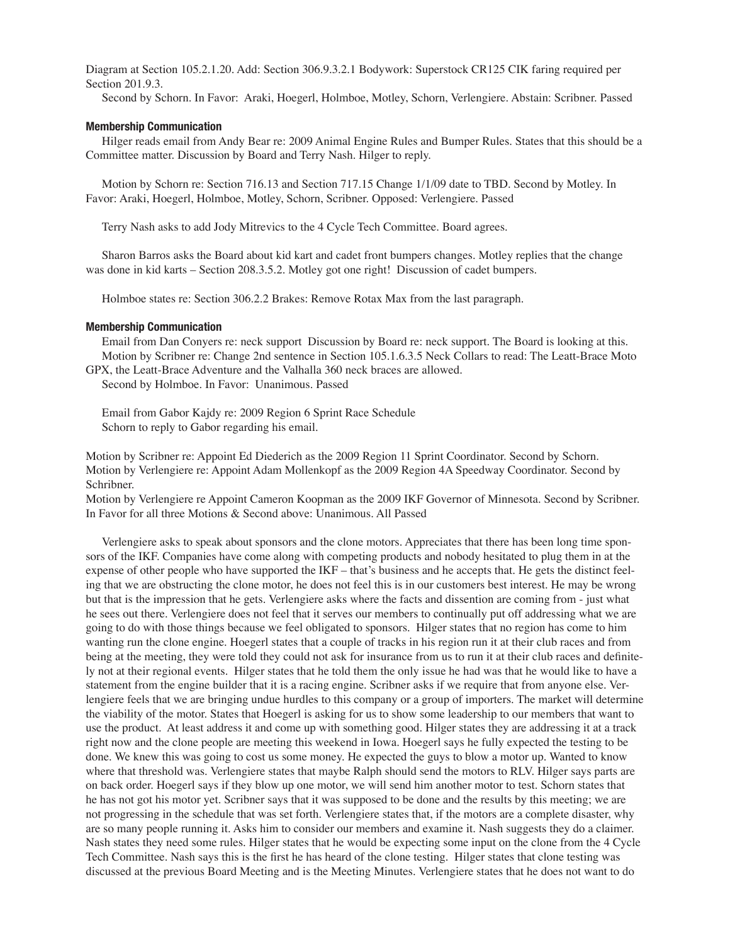Diagram at Section 105.2.1.20. Add: Section 306.9.3.2.1 Bodywork: Superstock CR125 CIK faring required per Section 201.9.3.

Second by Schorn. In Favor: Araki, Hoegerl, Holmboe, Motley, Schorn, Verlengiere. Abstain: Scribner. Passed

#### Membership Communication

Hilger reads email from Andy Bear re: 2009 Animal Engine Rules and Bumper Rules. States that this should be a Committee matter. Discussion by Board and Terry Nash. Hilger to reply.

Motion by Schorn re: Section 716.13 and Section 717.15 Change 1/1/09 date to TBD. Second by Motley. In Favor: Araki, Hoegerl, Holmboe, Motley, Schorn, Scribner. Opposed: Verlengiere. Passed

Terry Nash asks to add Jody Mitrevics to the 4 Cycle Tech Committee. Board agrees.

Sharon Barros asks the Board about kid kart and cadet front bumpers changes. Motley replies that the change was done in kid karts – Section 208.3.5.2. Motley got one right! Discussion of cadet bumpers.

Holmboe states re: Section 306.2.2 Brakes: Remove Rotax Max from the last paragraph.

#### Membership Communication

Email from Dan Conyers re: neck support Discussion by Board re: neck support. The Board is looking at this. Motion by Scribner re: Change 2nd sentence in Section 105.1.6.3.5 Neck Collars to read: The Leatt-Brace Moto

GPX, the Leatt-Brace Adventure and the Valhalla 360 neck braces are allowed. Second by Holmboe. In Favor: Unanimous. Passed

Email from Gabor Kajdy re: 2009 Region 6 Sprint Race Schedule Schorn to reply to Gabor regarding his email.

Motion by Scribner re: Appoint Ed Diederich as the 2009 Region 11 Sprint Coordinator. Second by Schorn. Motion by Verlengiere re: Appoint Adam Mollenkopf as the 2009 Region 4A Speedway Coordinator. Second by Schribner.

Motion by Verlengiere re Appoint Cameron Koopman as the 2009 IKF Governor of Minnesota. Second by Scribner. In Favor for all three Motions & Second above: Unanimous. All Passed

Verlengiere asks to speak about sponsors and the clone motors. Appreciates that there has been long time sponsors of the IKF. Companies have come along with competing products and nobody hesitated to plug them in at the expense of other people who have supported the IKF – that's business and he accepts that. He gets the distinct feeling that we are obstructing the clone motor, he does not feel this is in our customers best interest. He may be wrong but that is the impression that he gets. Verlengiere asks where the facts and dissention are coming from - just what he sees out there. Verlengiere does not feel that it serves our members to continually put off addressing what we are going to do with those things because we feel obligated to sponsors. Hilger states that no region has come to him wanting run the clone engine. Hoegerl states that a couple of tracks in his region run it at their club races and from being at the meeting, they were told they could not ask for insurance from us to run it at their club races and definitely not at their regional events. Hilger states that he told them the only issue he had was that he would like to have a statement from the engine builder that it is a racing engine. Scribner asks if we require that from anyone else. Verlengiere feels that we are bringing undue hurdles to this company or a group of importers. The market will determine the viability of the motor. States that Hoegerl is asking for us to show some leadership to our members that want to use the product. At least address it and come up with something good. Hilger states they are addressing it at a track right now and the clone people are meeting this weekend in Iowa. Hoegerl says he fully expected the testing to be done. We knew this was going to cost us some money. He expected the guys to blow a motor up. Wanted to know where that threshold was. Verlengiere states that maybe Ralph should send the motors to RLV. Hilger says parts are on back order. Hoegerl says if they blow up one motor, we will send him another motor to test. Schorn states that he has not got his motor yet. Scribner says that it was supposed to be done and the results by this meeting; we are not progressing in the schedule that was set forth. Verlengiere states that, if the motors are a complete disaster, why are so many people running it. Asks him to consider our members and examine it. Nash suggests they do a claimer. Nash states they need some rules. Hilger states that he would be expecting some input on the clone from the 4 Cycle Tech Committee. Nash says this is the first he has heard of the clone testing. Hilger states that clone testing was discussed at the previous Board Meeting and is the Meeting Minutes. Verlengiere states that he does not want to do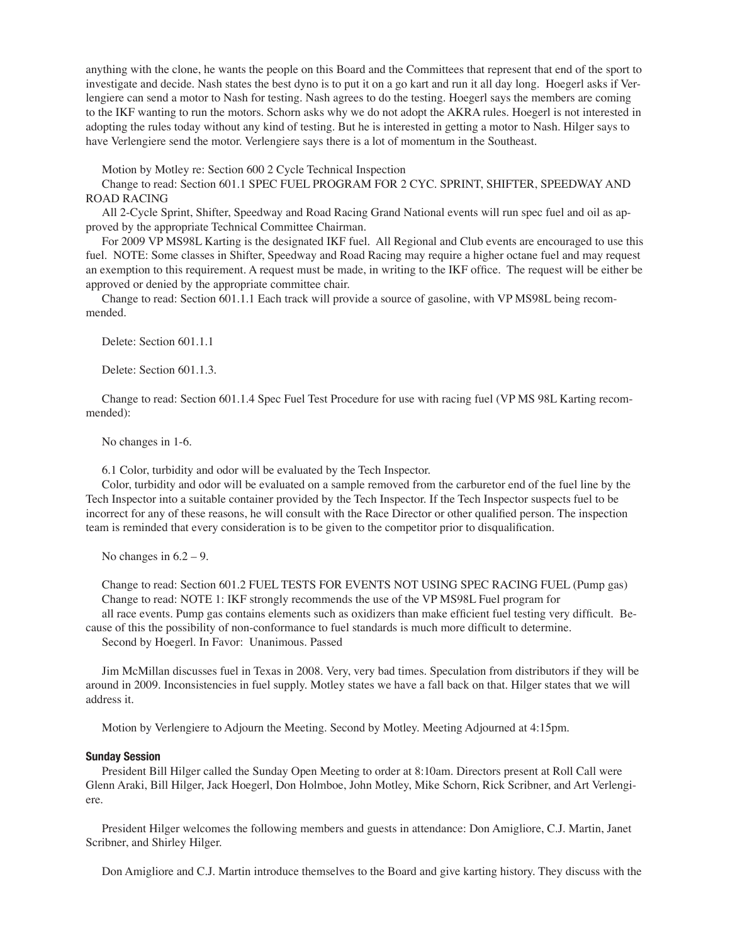anything with the clone, he wants the people on this Board and the Committees that represent that end of the sport to investigate and decide. Nash states the best dyno is to put it on a go kart and run it all day long. Hoegerl asks if Verlengiere can send a motor to Nash for testing. Nash agrees to do the testing. Hoegerl says the members are coming to the IKF wanting to run the motors. Schorn asks why we do not adopt the AKRA rules. Hoegerl is not interested in adopting the rules today without any kind of testing. But he is interested in getting a motor to Nash. Hilger says to have Verlengiere send the motor. Verlengiere says there is a lot of momentum in the Southeast.

Motion by Motley re: Section 600 2 Cycle Technical Inspection

Change to read: Section 601.1 SPEC FUEL PROGRAM FOR 2 CYC. SPRINT, SHIFTER, SPEEDWAY AND ROAD RACING

All 2-Cycle Sprint, Shifter, Speedway and Road Racing Grand National events will run spec fuel and oil as approved by the appropriate Technical Committee Chairman.

For 2009 VP MS98L Karting is the designated IKF fuel. All Regional and Club events are encouraged to use this fuel. NOTE: Some classes in Shifter, Speedway and Road Racing may require a higher octane fuel and may request an exemption to this requirement. A request must be made, in writing to the IKF office. The request will be either be approved or denied by the appropriate committee chair.

Change to read: Section 601.1.1 Each track will provide a source of gasoline, with VP MS98L being recommended.

Delete: Section 601.1.1

Delete: Section 601.1.3.

Change to read: Section 601.1.4 Spec Fuel Test Procedure for use with racing fuel (VP MS 98L Karting recommended):

No changes in 1-6.

6.1 Color, turbidity and odor will be evaluated by the Tech Inspector.

Color, turbidity and odor will be evaluated on a sample removed from the carburetor end of the fuel line by the Tech Inspector into a suitable container provided by the Tech Inspector. If the Tech Inspector suspects fuel to be incorrect for any of these reasons, he will consult with the Race Director or other qualified person. The inspection team is reminded that every consideration is to be given to the competitor prior to disqualification.

No changes in  $6.2 - 9$ .

Change to read: Section 601.2 FUEL TESTS FOR EVENTS NOT USING SPEC RACING FUEL (Pump gas) Change to read: NOTE 1: IKF strongly recommends the use of the VP MS98L Fuel program for

all race events. Pump gas contains elements such as oxidizers than make efficient fuel testing very difficult. Because of this the possibility of non-conformance to fuel standards is much more difficult to determine.

Second by Hoegerl. In Favor: Unanimous. Passed

Jim McMillan discusses fuel in Texas in 2008. Very, very bad times. Speculation from distributors if they will be around in 2009. Inconsistencies in fuel supply. Motley states we have a fall back on that. Hilger states that we will address it.

Motion by Verlengiere to Adjourn the Meeting. Second by Motley. Meeting Adjourned at 4:15pm.

#### Sunday Session

President Bill Hilger called the Sunday Open Meeting to order at 8:10am. Directors present at Roll Call were Glenn Araki, Bill Hilger, Jack Hoegerl, Don Holmboe, John Motley, Mike Schorn, Rick Scribner, and Art Verlengiere.

President Hilger welcomes the following members and guests in attendance: Don Amigliore, C.J. Martin, Janet Scribner, and Shirley Hilger.

Don Amigliore and C.J. Martin introduce themselves to the Board and give karting history. They discuss with the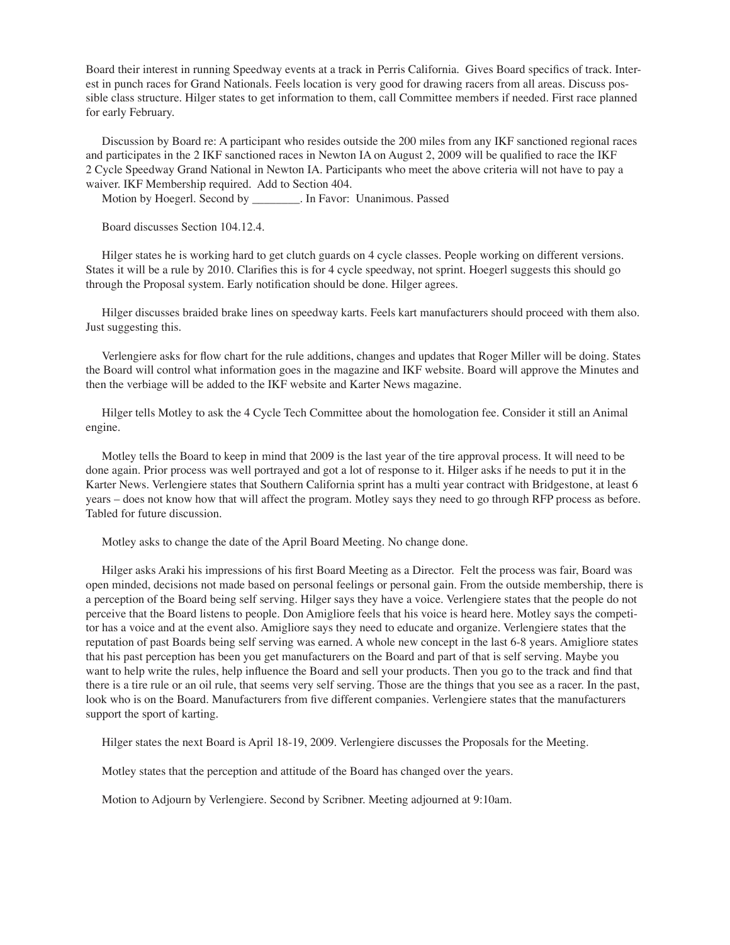Board their interest in running Speedway events at a track in Perris California. Gives Board specifics of track. Interest in punch races for Grand Nationals. Feels location is very good for drawing racers from all areas. Discuss possible class structure. Hilger states to get information to them, call Committee members if needed. First race planned for early February.

Discussion by Board re: A participant who resides outside the 200 miles from any IKF sanctioned regional races and participates in the 2 IKF sanctioned races in Newton IA on August 2, 2009 will be qualified to race the IKF 2 Cycle Speedway Grand National in Newton IA. Participants who meet the above criteria will not have to pay a waiver. IKF Membership required. Add to Section 404.

Motion by Hoegerl. Second by **Fig. 2.1.** In Favor: Unanimous. Passed

Board discusses Section 104.12.4.

Hilger states he is working hard to get clutch guards on 4 cycle classes. People working on different versions. States it will be a rule by 2010. Clarifies this is for 4 cycle speedway, not sprint. Hoegerl suggests this should go through the Proposal system. Early notification should be done. Hilger agrees.

Hilger discusses braided brake lines on speedway karts. Feels kart manufacturers should proceed with them also. Just suggesting this.

Verlengiere asks for flow chart for the rule additions, changes and updates that Roger Miller will be doing. States the Board will control what information goes in the magazine and IKF website. Board will approve the Minutes and then the verbiage will be added to the IKF website and Karter News magazine.

Hilger tells Motley to ask the 4 Cycle Tech Committee about the homologation fee. Consider it still an Animal engine.

Motley tells the Board to keep in mind that 2009 is the last year of the tire approval process. It will need to be done again. Prior process was well portrayed and got a lot of response to it. Hilger asks if he needs to put it in the Karter News. Verlengiere states that Southern California sprint has a multi year contract with Bridgestone, at least 6 years – does not know how that will affect the program. Motley says they need to go through RFP process as before. Tabled for future discussion.

Motley asks to change the date of the April Board Meeting. No change done.

Hilger asks Araki his impressions of his first Board Meeting as a Director. Felt the process was fair, Board was open minded, decisions not made based on personal feelings or personal gain. From the outside membership, there is a perception of the Board being self serving. Hilger says they have a voice. Verlengiere states that the people do not perceive that the Board listens to people. Don Amigliore feels that his voice is heard here. Motley says the competitor has a voice and at the event also. Amigliore says they need to educate and organize. Verlengiere states that the reputation of past Boards being self serving was earned. A whole new concept in the last 6-8 years. Amigliore states that his past perception has been you get manufacturers on the Board and part of that is self serving. Maybe you want to help write the rules, help influence the Board and sell your products. Then you go to the track and find that there is a tire rule or an oil rule, that seems very self serving. Those are the things that you see as a racer. In the past, look who is on the Board. Manufacturers from five different companies. Verlengiere states that the manufacturers support the sport of karting.

Hilger states the next Board is April 18-19, 2009. Verlengiere discusses the Proposals for the Meeting.

Motley states that the perception and attitude of the Board has changed over the years.

Motion to Adjourn by Verlengiere. Second by Scribner. Meeting adjourned at 9:10am.